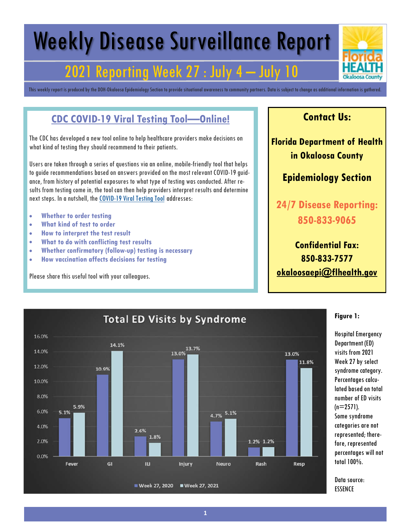## Weekly Disease Surveillance Report

## 2021 Reporting Week 27 : July 4 – July 10

This weekly report is produced by the DOH-Okaloosa Epidemiology Section to provide situational awareness to community partners. Data is subject to change as additional information is gathered.

#### **CDC COVID-19 Viral Testing Tool—Online!**

The CDC has developed a new tool online to help healthcare providers make decisions on what kind of testing they should recommend to their patients.

Users are taken through a series of questions via an online, mobile-friendly tool that helps to guide recommendations based on answers provided on the most relevant COVID-19 guidance, from history of potential exposures to what type of testing was conducted. After results from testing come in, the tool can then help providers interpret results and determine next steps. In a nutshell, the COVID-19 Viral Testing Tool addresses:

- **Whether to order testing**
- **What kind of test to order**
- **How to interpret the test result**
- **What to do with conflicting test results**
- **Whether confirmatory (follow-up) testing is necessary**
- **How vaccination affects decisions for testing**

Please share this useful tool with your colleagues.

#### **Contact Us:**

**Florida Department of Health in Okaloosa County**

#### **Epidemiology Section**

**24/7 Disease Reporting: 850-833-9065**

**Confidential Fax: 850-833-7577 okaloosaepi@flhealth.gov**



#### **Figure 1:**

Hospital Emergency Department (ED) visits from 2021 Week 27 by select syndrome category. Percentages calculated based on total number of ED visits  $(n=2571)$ . Some syndrome categories are not represented; therefore, represented percentages will not total 100%.

Data source: ESSENCE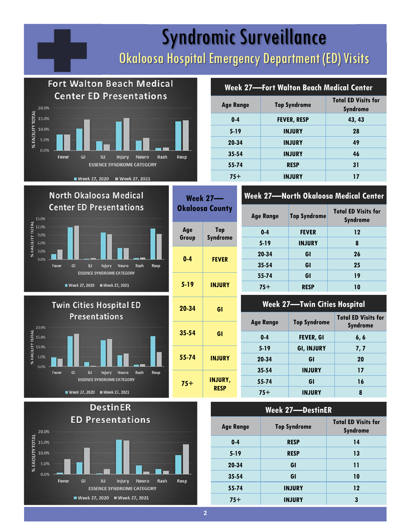## Syndromic Surveillance Okaloosa Hospital Emergency Department (ED) Visits









| Week 27–<br><b>Okaloosa County</b> |                               |  |
|------------------------------------|-------------------------------|--|
| Age<br>Group                       | <b>Top</b><br><b>Syndrome</b> |  |

| u vu v   | <b>Synurome</b> |
|----------|-----------------|
| 0-4      | <b>FEVER</b>    |
| $5 - 19$ | INJURY          |
|          |                 |



# **Syndrome**

| -         | NJUNI                         |
|-----------|-------------------------------|
| 20-34     | GI                            |
| $35 - 54$ | GI                            |
| $55 - 74$ | <b>INJURY</b>                 |
| $75+$     | <b>INJURY,</b><br><b>RESP</b> |

#### **Week 27—Fort Walton Beach Medical Center**

| <b>Age Range</b> | <b>Top Syndrome</b> | <b>Total ED Visits for</b><br><b>Syndrome</b> |
|------------------|---------------------|-----------------------------------------------|
| $0 - 4$          | <b>FEVER, RESP</b>  | 43, 43                                        |
| $5 - 19$         | <b>INJURY</b>       | 28                                            |
| 20-34            | <b>INJURY</b>       | 49                                            |
| $35 - 54$        | <b>INJURY</b>       | 46                                            |
| 55-74            | <b>RESP</b>         | 31                                            |
| $75+$            | <b>INJURY</b>       | 17                                            |

#### **Week 27—North Okaloosa Medical Center**

| <b>Age Range</b> | <b>Top Syndrome</b> | <b>Total ED Visits for</b><br><b>Syndrome</b> |
|------------------|---------------------|-----------------------------------------------|
| $0 - 4$          | <b>FEVER</b>        | 12                                            |
| $5 - 19$         | <b>INJURY</b>       | 8                                             |
| 20-34            | GI                  | 26                                            |
| $35 - 54$        | GI                  | 25                                            |
| 55-74            | GI                  | 19                                            |
| $75+$            | <b>RESP</b>         | 10                                            |

#### **Week 27—Twin Cities Hospital**

|                                                                 | <b>Age Range</b> | <b>Top Syndrome</b> | <b>Total ED Visits for</b><br><b>Syndrome</b> |
|-----------------------------------------------------------------|------------------|---------------------|-----------------------------------------------|
| $0 - 4$                                                         |                  | <b>FEVER, GI</b>    | 6,6                                           |
|                                                                 | $5 - 19$         | <b>GI, INJURY</b>   | 7,7                                           |
| <b>IRY</b><br>20-34<br>$35 - 54$<br>RY,<br>55-74<br>SP<br>$75+$ | GI               | 20                  |                                               |
|                                                                 |                  | <b>INJURY</b>       | 17                                            |
|                                                                 |                  | GI                  | 16                                            |
|                                                                 |                  | <b>INJURY</b>       | 8                                             |

| <b>Week 27-DestinER</b> |                     |                                               |  |
|-------------------------|---------------------|-----------------------------------------------|--|
| <b>Age Range</b>        | <b>Top Syndrome</b> | <b>Total ED Visits for</b><br><b>Syndrome</b> |  |
| $0 - 4$                 | <b>RESP</b>         | 14                                            |  |
| $5 - 19$                | <b>RESP</b>         | 13                                            |  |
| 20-34                   | GI                  | 11                                            |  |
| $35 - 54$               | GI                  | 10                                            |  |
| 55-74                   | <b>INJURY</b>       | 12                                            |  |
| $75+$                   | <b>INJURY</b>       | 3                                             |  |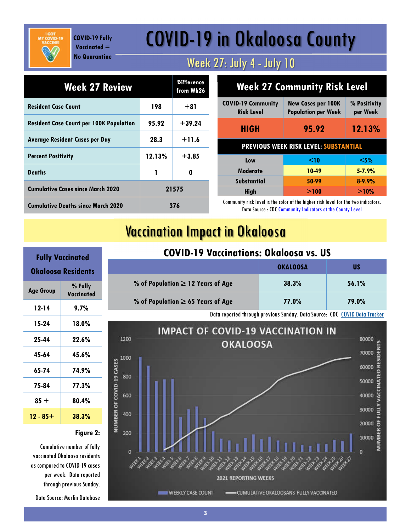**COVID-19 Fully Vaccinated = No Quarantine**

## COVID-19 in Okaloosa County

#### Week 27: July 4 - July 10

| <b>Week 27 Review</b>                          |        | <b>Difference</b><br>from Wk26 |
|------------------------------------------------|--------|--------------------------------|
| <b>Resident Case Count</b>                     | 198    | $+81$                          |
| <b>Resident Case Count per 100K Population</b> | 95.92  | $+39.24$                       |
| <b>Average Resident Cases per Day</b>          | 28.3   | $+11.6$                        |
| <b>Percent Positivity</b>                      | 12.13% | $+3.85$                        |
| <b>Deaths</b>                                  | 1      | Λ                              |
| <b>Cumulative Cases since March 2020</b>       | 21575  |                                |
| <b>Cumulative Deaths since March 2020</b>      | 376    |                                |

| <b>Week 27 Community Risk Level</b>            |                                                         |                          |
|------------------------------------------------|---------------------------------------------------------|--------------------------|
| <b>COVID-19 Community</b><br><b>Risk Level</b> | <b>New Cases per 100K</b><br><b>Population per Week</b> | % Positivity<br>per Week |
| <b>HIGH</b>                                    | 95.92                                                   | 12.13%                   |
| <b>PREVIOUS WEEK RISK LEVEL: SUBSTANTIAL</b>   |                                                         |                          |
| Low                                            | $\leq$ 10                                               | $<$ 5%                   |
| Moderate                                       | 10-49                                                   | $5 - 7.9%$               |
| <b>Substantial</b>                             | 50-99                                                   | $8 - 9.9%$               |
| <b>High</b>                                    | >100                                                    | >10%                     |

Community risk level is the color of the higher risk level for the two indicators. Data Source : CDC Community Indicators at the County Level

### Vaccination Impact in Okaloosa

|                                        | <b>OKALOOSA</b> | บร    |
|----------------------------------------|-----------------|-------|
| % of Population $\geq$ 12 Years of Age | 38.3%           | 56.1% |
| % of Population $\geq 65$ Years of Age | 77.0%           | 79.0% |

**COVID-19 Vaccinations: Okaloosa vs. US**

Data reported through previous Sunday. Data Source: CDC COVID Data Tracker



| <b>Fully Vaccinated</b><br>Okaloosa Residents |       |  |
|-----------------------------------------------|-------|--|
| % Fully<br><b>Age Group</b><br>Vaccinated     |       |  |
| $12 - 14$                                     | 9.7%  |  |
| 15-24                                         | 18.0% |  |
| 25-44                                         | 22.6% |  |
| 45-64                                         | 45.6% |  |
| 65-74                                         | 74.9% |  |
| 75-84                                         | 77.3% |  |
| $85 +$                                        | 80.4% |  |
| 12 - 85+                                      | 38.3% |  |

#### **Figure 2:**

Cumulative number of fully vaccinated Okaloosa residents as compared to COVID-19 cases per week. Data reported through previous Sunday.

Data Source: Merlin Database

#### **3**